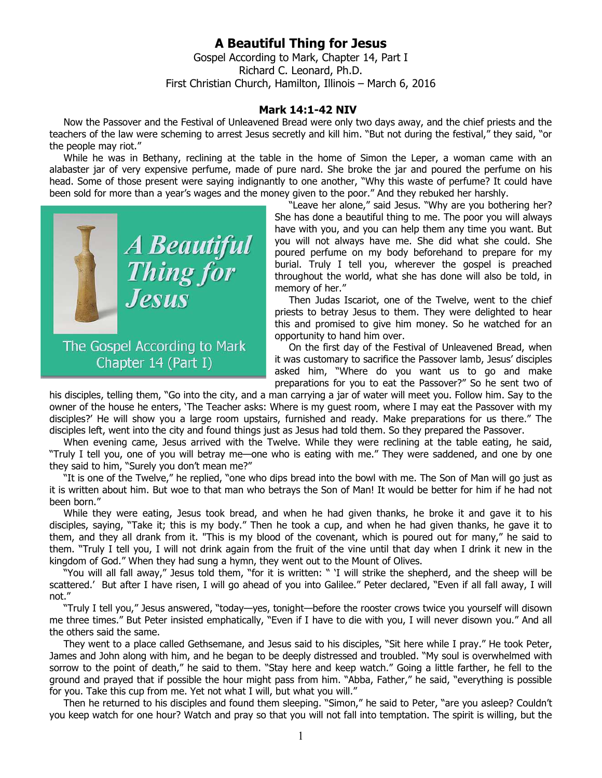## **A Beautiful Thing for Jesus**

Gospel According to Mark, Chapter 14, Part I Richard C. Leonard, Ph.D. First Christian Church, Hamilton, Illinois – March 6, 2016

## **Mark 14:1-42 NIV**

Now the Passover and the Festival of Unleavened Bread were only two days away, and the chief priests and the teachers of the law were scheming to arrest Jesus secretly and kill him. "But not during the festival," they said, "or the people may riot."

While he was in Bethany, reclining at the table in the home of Simon the Leper, a woman came with an alabaster jar of very expensive perfume, made of pure nard. She broke the jar and poured the perfume on his head. Some of those present were saying indignantly to one another, "Why this waste of perfume? It could have been sold for more than a year's wages and the money given to the poor." And they rebuked her harshly.



"Leave her alone," said Jesus. "Why are you bothering her? She has done a beautiful thing to me. The poor you will always have with you, and you can help them any time you want. But you will not always have me. She did what she could. She poured perfume on my body beforehand to prepare for my burial. Truly I tell you, wherever the gospel is preached throughout the world, what she has done will also be told, in memory of her."

Then Judas Iscariot, one of the Twelve, went to the chief priests to betray Jesus to them. They were delighted to hear this and promised to give him money. So he watched for an opportunity to hand him over.

On the first day of the Festival of Unleavened Bread, when it was customary to sacrifice the Passover lamb, Jesus' disciples asked him, "Where do you want us to go and make preparations for you to eat the Passover?" So he sent two of

his disciples, telling them, "Go into the city, and a man carrying a jar of water will meet you. Follow him. Say to the owner of the house he enters, 'The Teacher asks: Where is my guest room, where I may eat the Passover with my disciples?' He will show you a large room upstairs, furnished and ready. Make preparations for us there." The disciples left, went into the city and found things just as Jesus had told them. So they prepared the Passover.

When evening came, Jesus arrived with the Twelve. While they were reclining at the table eating, he said, "Truly I tell you, one of you will betray me—one who is eating with me." They were saddened, and one by one they said to him, "Surely you don't mean me?"

"It is one of the Twelve," he replied, "one who dips bread into the bowl with me. The Son of Man will go just as it is written about him. But woe to that man who betrays the Son of Man! It would be better for him if he had not been born."

While they were eating, Jesus took bread, and when he had given thanks, he broke it and gave it to his disciples, saying, "Take it; this is my body." Then he took a cup, and when he had given thanks, he gave it to them, and they all drank from it. "This is my blood of the covenant, which is poured out for many," he said to them. "Truly I tell you, I will not drink again from the fruit of the vine until that day when I drink it new in the kingdom of God." When they had sung a hymn, they went out to the Mount of Olives.

"You will all fall away," Jesus told them, "for it is written: " 'I will strike the shepherd, and the sheep will be scattered.' But after I have risen, I will go ahead of you into Galilee." Peter declared, "Even if all fall away, I will not."

"Truly I tell you," Jesus answered, "today—yes, tonight—before the rooster crows twice you yourself will disown me three times." But Peter insisted emphatically, "Even if I have to die with you, I will never disown you." And all the others said the same.

They went to a place called Gethsemane, and Jesus said to his disciples, "Sit here while I pray." He took Peter, James and John along with him, and he began to be deeply distressed and troubled. "My soul is overwhelmed with sorrow to the point of death," he said to them. "Stay here and keep watch." Going a little farther, he fell to the ground and prayed that if possible the hour might pass from him. "Abba, Father," he said, "everything is possible for you. Take this cup from me. Yet not what I will, but what you will."

Then he returned to his disciples and found them sleeping. "Simon," he said to Peter, "are you asleep? Couldn't you keep watch for one hour? Watch and pray so that you will not fall into temptation. The spirit is willing, but the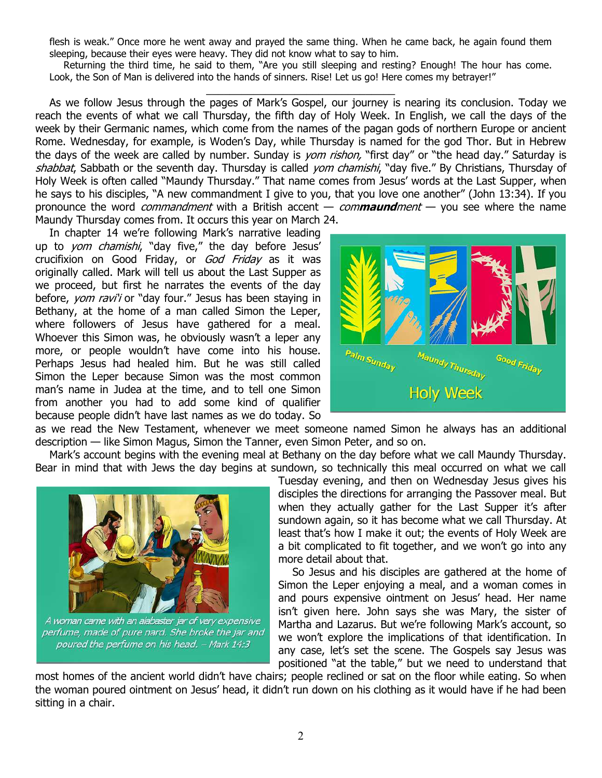flesh is weak." Once more he went away and prayed the same thing. When he came back, he again found them sleeping, because their eyes were heavy. They did not know what to say to him.

Returning the third time, he said to them, "Are you still sleeping and resting? Enough! The hour has come. Look, the Son of Man is delivered into the hands of sinners. Rise! Let us go! Here comes my betrayer!" \_\_\_\_\_\_\_\_\_\_\_\_\_\_\_\_\_\_\_\_\_\_\_\_\_\_\_\_\_\_\_\_

As we follow Jesus through the pages of Mark's Gospel, our journey is nearing its conclusion. Today we reach the events of what we call Thursday, the fifth day of Holy Week. In English, we call the days of the week by their Germanic names, which come from the names of the pagan gods of northern Europe or ancient Rome. Wednesday, for example, is Woden's Day, while Thursday is named for the god Thor. But in Hebrew the days of the week are called by number. Sunday is *yom rishon,* "first day" or "the head day." Saturday is shabbat, Sabbath or the seventh day. Thursday is called *yom chamishi*, "day five." By Christians, Thursday of Holy Week is often called "Maundy Thursday." That name comes from Jesus' words at the Last Supper, when he says to his disciples, "A new commandment I give to you, that you love one another" (John 13:34). If you pronounce the word commandment with a British accent — com**maund**ment — you see where the name Maundy Thursday comes from. It occurs this year on March 24.

In chapter 14 we're following Mark's narrative leading up to yom chamishi, "day five," the day before Jesus' crucifixion on Good Friday, or God Friday as it was originally called. Mark will tell us about the Last Supper as we proceed, but first he narrates the events of the day before, yom ravi'i or "day four." Jesus has been staying in Bethany, at the home of a man called Simon the Leper, where followers of Jesus have gathered for a meal. Whoever this Simon was, he obviously wasn't a leper any more, or people wouldn't have come into his house. Perhaps Jesus had healed him. But he was still called Simon the Leper because Simon was the most common man's name in Judea at the time, and to tell one Simon from another you had to add some kind of qualifier because people didn't have last names as we do today. So



as we read the New Testament, whenever we meet someone named Simon he always has an additional description — like Simon Magus, Simon the Tanner, even Simon Peter, and so on.

Mark's account begins with the evening meal at Bethany on the day before what we call Maundy Thursday. Bear in mind that with Jews the day begins at sundown, so technically this meal occurred on what we call



A woman came with an alabaster jar of very expensive perfume, made of pure nard. She broke the jar and poured the perfume on his head. - Mark 14:3

Tuesday evening, and then on Wednesday Jesus gives his disciples the directions for arranging the Passover meal. But when they actually gather for the Last Supper it's after sundown again, so it has become what we call Thursday. At least that's how I make it out; the events of Holy Week are a bit complicated to fit together, and we won't go into any more detail about that.

So Jesus and his disciples are gathered at the home of Simon the Leper enjoying a meal, and a woman comes in and pours expensive ointment on Jesus' head. Her name isn't given here. John says she was Mary, the sister of Martha and Lazarus. But we're following Mark's account, so we won't explore the implications of that identification. In any case, let's set the scene. The Gospels say Jesus was positioned "at the table," but we need to understand that

most homes of the ancient world didn't have chairs; people reclined or sat on the floor while eating. So when the woman poured ointment on Jesus' head, it didn't run down on his clothing as it would have if he had been sitting in a chair.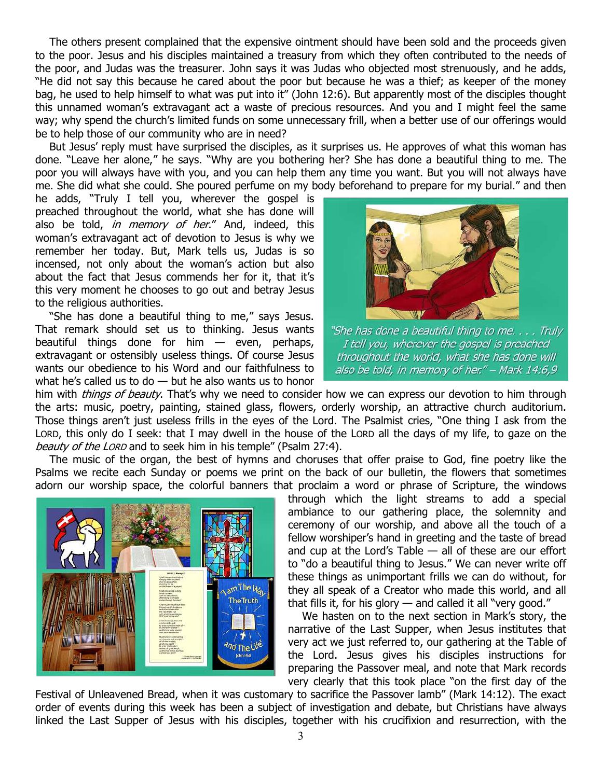The others present complained that the expensive ointment should have been sold and the proceeds given to the poor. Jesus and his disciples maintained a treasury from which they often contributed to the needs of the poor, and Judas was the treasurer. John says it was Judas who objected most strenuously, and he adds, "He did not say this because he cared about the poor but because he was a thief; as keeper of the money bag, he used to help himself to what was put into it" (John 12:6). But apparently most of the disciples thought this unnamed woman's extravagant act a waste of precious resources. And you and I might feel the same way; why spend the church's limited funds on some unnecessary frill, when a better use of our offerings would be to help those of our community who are in need?

But Jesus' reply must have surprised the disciples, as it surprises us. He approves of what this woman has done. "Leave her alone," he says. "Why are you bothering her? She has done a beautiful thing to me. The poor you will always have with you, and you can help them any time you want. But you will not always have me. She did what she could. She poured perfume on my body beforehand to prepare for my burial." and then

he adds, "Truly I tell you, wherever the gospel is preached throughout the world, what she has done will also be told, in memory of her." And, indeed, this woman's extravagant act of devotion to Jesus is why we remember her today. But, Mark tells us, Judas is so incensed, not only about the woman's action but also about the fact that Jesus commends her for it, that it's this very moment he chooses to go out and betray Jesus to the religious authorities.

"She has done a beautiful thing to me," says Jesus. That remark should set us to thinking. Jesus wants beautiful things done for him — even, perhaps, extravagant or ostensibly useless things. Of course Jesus wants our obedience to his Word and our faithfulness to what he's called us to do — but he also wants us to honor



"She has done a beautiful thing to me. . . . Truly I tell you, wherever the gospel is preached throughout the world, what she has done will also be told, in memory of her." - Mark 14:6,9

him with *things of beauty*. That's why we need to consider how we can express our devotion to him through the arts: music, poetry, painting, stained glass, flowers, orderly worship, an attractive church auditorium. Those things aren't just useless frills in the eyes of the Lord. The Psalmist cries, "One thing I ask from the LORD, this only do I seek: that I may dwell in the house of the LORD all the days of my life, to gaze on the beauty of the LORD and to seek him in his temple" (Psalm 27:4).

The music of the organ, the best of hymns and choruses that offer praise to God, fine poetry like the Psalms we recite each Sunday or poems we print on the back of our bulletin, the flowers that sometimes adorn our worship space, the colorful banners that proclaim a word or phrase of Scripture, the windows



through which the light streams to add a special ambiance to our gathering place, the solemnity and ceremony of our worship, and above all the touch of a fellow worshiper's hand in greeting and the taste of bread and cup at the Lord's Table — all of these are our effort to "do a beautiful thing to Jesus." We can never write off these things as unimportant frills we can do without, for they all speak of a Creator who made this world, and all that fills it, for his glory  $-$  and called it all "very good."

We hasten on to the next section in Mark's story, the narrative of the Last Supper, when Jesus institutes that very act we just referred to, our gathering at the Table of the Lord. Jesus gives his disciples instructions for preparing the Passover meal, and note that Mark records very clearly that this took place "on the first day of the

Festival of Unleavened Bread, when it was customary to sacrifice the Passover lamb" (Mark 14:12). The exact order of events during this week has been a subject of investigation and debate, but Christians have always linked the Last Supper of Jesus with his disciples, together with his crucifixion and resurrection, with the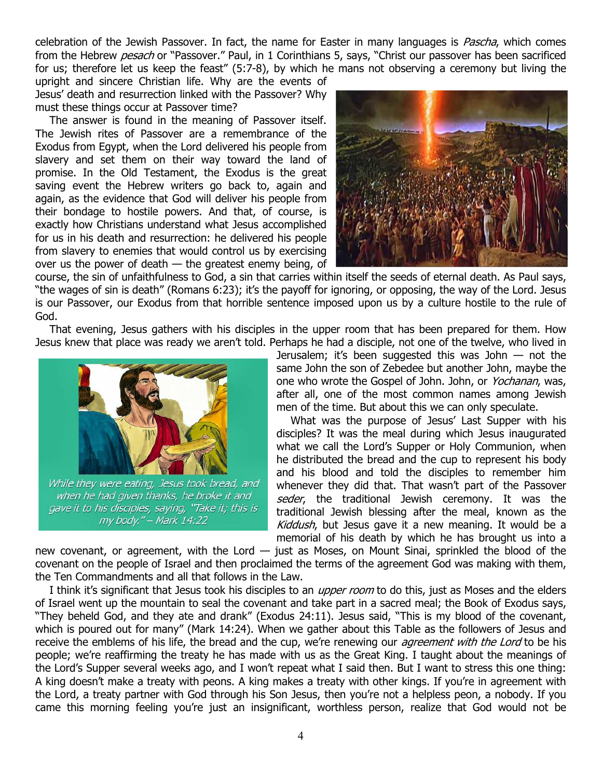celebration of the Jewish Passover. In fact, the name for Easter in many languages is *Pascha*, which comes from the Hebrew *pesach* or "Passover." Paul, in 1 Corinthians 5, says, "Christ our passover has been sacrificed for us; therefore let us keep the feast" (5:7-8), by which he mans not observing a ceremony but living the

upright and sincere Christian life. Why are the events of Jesus' death and resurrection linked with the Passover? Why must these things occur at Passover time?

The answer is found in the meaning of Passover itself. The Jewish rites of Passover are a remembrance of the Exodus from Egypt, when the Lord delivered his people from slavery and set them on their way toward the land of promise. In the Old Testament, the Exodus is the great saving event the Hebrew writers go back to, again and again, as the evidence that God will deliver his people from their bondage to hostile powers. And that, of course, is exactly how Christians understand what Jesus accomplished for us in his death and resurrection: he delivered his people from slavery to enemies that would control us by exercising over us the power of death — the greatest enemy being, of



course, the sin of unfaithfulness to God, a sin that carries within itself the seeds of eternal death. As Paul says, "the wages of sin is death" (Romans 6:23); it's the payoff for ignoring, or opposing, the way of the Lord. Jesus is our Passover, our Exodus from that horrible sentence imposed upon us by a culture hostile to the rule of God.

That evening, Jesus gathers with his disciples in the upper room that has been prepared for them. How Jesus knew that place was ready we aren't told. Perhaps he had a disciple, not one of the twelve, who lived in



when he had given thanks, he broke it and gave it to his disciples, saying, "Take it; this is my body." - Mark 14:22

Jerusalem; it's been suggested this was John — not the same John the son of Zebedee but another John, maybe the one who wrote the Gospel of John. John, or Yochanan, was, after all, one of the most common names among Jewish men of the time. But about this we can only speculate.

What was the purpose of Jesus' Last Supper with his disciples? It was the meal during which Jesus inaugurated what we call the Lord's Supper or Holy Communion, when he distributed the bread and the cup to represent his body and his blood and told the disciples to remember him whenever they did that. That wasn't part of the Passover seder, the traditional Jewish ceremony. It was the traditional Jewish blessing after the meal, known as the Kiddush, but Jesus gave it a new meaning. It would be a memorial of his death by which he has brought us into a

new covenant, or agreement, with the Lord — just as Moses, on Mount Sinai, sprinkled the blood of the covenant on the people of Israel and then proclaimed the terms of the agreement God was making with them, the Ten Commandments and all that follows in the Law.

I think it's significant that Jesus took his disciples to an *upper room* to do this, just as Moses and the elders of Israel went up the mountain to seal the covenant and take part in a sacred meal; the Book of Exodus says, "They beheld God, and they ate and drank" (Exodus 24:11). Jesus said, "This is my blood of the covenant, which is poured out for many" (Mark 14:24). When we gather about this Table as the followers of Jesus and receive the emblems of his life, the bread and the cup, we're renewing our *agreement with the Lord* to be his people; we're reaffirming the treaty he has made with us as the Great King. I taught about the meanings of the Lord's Supper several weeks ago, and I won't repeat what I said then. But I want to stress this one thing: A king doesn't make a treaty with peons. A king makes a treaty with other kings. If you're in agreement with the Lord, a treaty partner with God through his Son Jesus, then you're not a helpless peon, a nobody. If you came this morning feeling you're just an insignificant, worthless person, realize that God would not be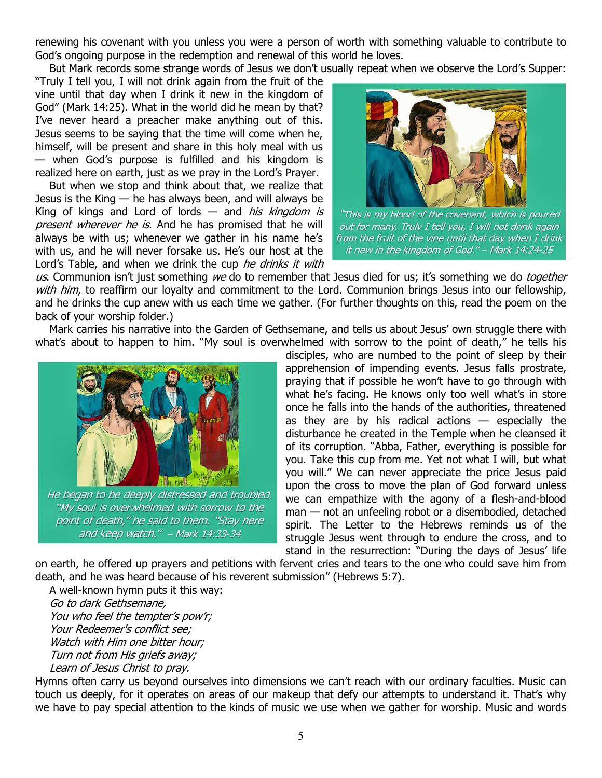renewing his covenant with you unless you were a person of worth with something valuable to contribute to God's ongoing purpose in the redemption and renewal of this world he loves.

But Mark records some strange words of Jesus we don't usually repeat when we observe the Lord's Supper:

"Truly I tell you, I will not drink again from the fruit of the vine until that day when I drink it new in the kingdom of God" (Mark 14:25). What in the world did he mean by that? I've never heard a preacher make anything out of this. Jesus seems to be saying that the time will come when he, himself, will be present and share in this holy meal with us — when God's purpose is fulfilled and his kingdom is realized here on earth, just as we pray in the Lord's Prayer.

But when we stop and think about that, we realize that Jesus is the King — he has always been, and will always be King of kings and Lord of lords  $-$  and *his kingdom is* present wherever he is. And he has promised that he will always be with us; whenever we gather in his name he's with us, and he will never forsake us. He's our host at the Lord's Table, and when we drink the cup he drinks it with



"This is my blood of the covenant, which is poured out for many. Truly I tell you, I will not drink again from the fruit of the vine until that day when I drink it new in the kingdom of God." - Mark 14:24-25

us. Communion isn't just something we do to remember that Jesus died for us; it's something we do toaether with him, to reaffirm our loyalty and commitment to the Lord. Communion brings Jesus into our fellowship, and he drinks the cup anew with us each time we gather. (For further thoughts on this, read the poem on the back of your worship folder.)

Mark carries his narrative into the Garden of Gethsemane, and tells us about Jesus' own struggle there with what's about to happen to him. "My soul is overwhelmed with sorrow to the point of death," he tells his



He began to be deeply distressed and troubled. "My soul is overwhelmed with sorrow to the point of death," he said to them. "Stay here and keep watch." - Mark 14:33-34

disciples, who are numbed to the point of sleep by their apprehension of impending events. Jesus falls prostrate, praying that if possible he won't have to go through with what he's facing. He knows only too well what's in store once he falls into the hands of the authorities, threatened as they are by his radical actions  $-$  especially the disturbance he created in the Temple when he cleansed it of its corruption. "Abba, Father, everything is possible for you. Take this cup from me. Yet not what I will, but what you will." We can never appreciate the price Jesus paid upon the cross to move the plan of God forward unless we can empathize with the agony of a flesh-and-blood man — not an unfeeling robot or a disembodied, detached spirit. The Letter to the Hebrews reminds us of the struggle Jesus went through to endure the cross, and to stand in the resurrection: "During the days of Jesus' life

on earth, he offered up prayers and petitions with fervent cries and tears to the one who could save him from death, and he was heard because of his reverent submission" (Hebrews 5:7).

A well-known hymn puts it this way: Go to dark Gethsemane, You who feel the tempter's pow'r; Your Redeemer's conflict see; Watch with Him one bitter hour; Turn not from His griefs away; Learn of Jesus Christ to pray.

Hymns often carry us beyond ourselves into dimensions we can't reach with our ordinary faculties. Music can touch us deeply, for it operates on areas of our makeup that defy our attempts to understand it. That's why we have to pay special attention to the kinds of music we use when we gather for worship. Music and words